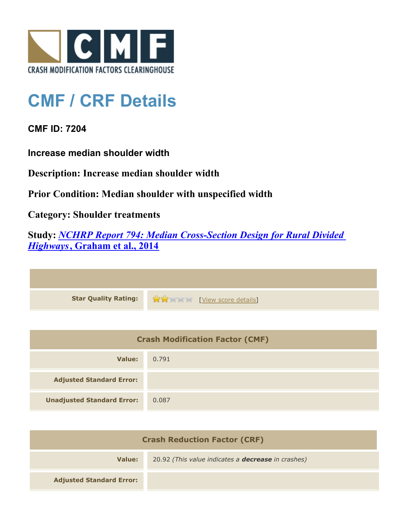

## **CMF / CRF Details**

**CMF ID: 7204**

**Increase median shoulder width**

**Description: Increase median shoulder width**

**Prior Condition: Median shoulder with unspecified width**

**Category: Shoulder treatments**

**Study:** *[NCHRP Report 794: Median Cross-Section Design for Rural Divided](http://www.cmfclearinghouse.org/study_detail.cfm?stid=420) [Highways](http://www.cmfclearinghouse.org/study_detail.cfm?stid=420)***[, Graham et al., 2014](http://www.cmfclearinghouse.org/study_detail.cfm?stid=420)**

| Star Quality Rating: 1999 [View score details] |
|------------------------------------------------|

| <b>Crash Modification Factor (CMF)</b> |       |
|----------------------------------------|-------|
| Value:                                 | 0.791 |
| <b>Adjusted Standard Error:</b>        |       |
| <b>Unadjusted Standard Error:</b>      | 0.087 |

| <b>Crash Reduction Factor (CRF)</b> |                                                           |
|-------------------------------------|-----------------------------------------------------------|
| Value:                              | 20.92 (This value indicates a <b>decrease</b> in crashes) |
| <b>Adjusted Standard Error:</b>     |                                                           |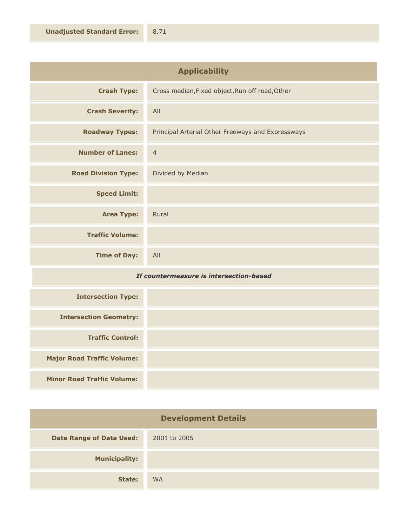| <b>Applicability</b>       |                                                   |
|----------------------------|---------------------------------------------------|
| <b>Crash Type:</b>         | Cross median, Fixed object, Run off road, Other   |
| <b>Crash Severity:</b>     | All                                               |
| <b>Roadway Types:</b>      | Principal Arterial Other Freeways and Expressways |
| <b>Number of Lanes:</b>    | $\overline{4}$                                    |
| <b>Road Division Type:</b> | Divided by Median                                 |
| <b>Speed Limit:</b>        |                                                   |
| <b>Area Type:</b>          | Rural                                             |
| <b>Traffic Volume:</b>     |                                                   |
| <b>Time of Day:</b>        | All                                               |

## *If countermeasure is intersection-based*

| <b>Intersection Type:</b>         |  |
|-----------------------------------|--|
| <b>Intersection Geometry:</b>     |  |
| <b>Traffic Control:</b>           |  |
| <b>Major Road Traffic Volume:</b> |  |
| <b>Minor Road Traffic Volume:</b> |  |

| <b>Development Details</b>      |              |
|---------------------------------|--------------|
| <b>Date Range of Data Used:</b> | 2001 to 2005 |
| <b>Municipality:</b>            |              |
| State:                          | <b>WA</b>    |